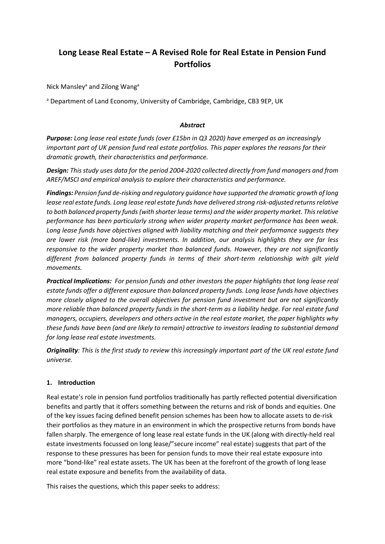# **Long Lease Real Estate – A Revised Role for Real Estate in Pension Fund Portfolios**

Nick Mansley<sup>a</sup> and Zilong Wang<sup>a</sup>

a Department of Land Economy, University of Cambridge, Cambridge, CB3 9EP, UK

## *Abstract*

*Purpose: Long lease real estate funds (over £15bn in Q3 2020) have emerged as an increasingly important part of UK pension fund real estate portfolios. This paper explores the reasons for their dramatic growth, their characteristics and performance.*

*Design: This study uses data for the period 2004-2020 collected directly from fund managers and from AREF/MSCI and empirical analysis to explore their characteristics and performance.*

*Findings: Pension fund de-risking and regulatory guidance have supported the dramatic growth of long lease real estate funds. Long lease real estate funds have delivered strong risk-adjusted returns relative to both balanced property funds (with shorter lease terms) and the wider property market. This relative performance has been particularly strong when wider property market performance has been weak. Long lease funds have objectives aligned with liability matching and their performance suggests they are lower risk (more bond-like) investments. In addition, our analysis highlights they are far less responsive to the wider property market than balanced funds. However, they are not significantly different from balanced property funds in terms of their short-term relationship with gilt yield movements.* 

*Practical Implications: For pension funds and other investors the paper highlights that long lease real estate funds offer a different exposure than balanced property funds. Long lease funds have objectives more closely aligned to the overall objectives for pension fund investment but are not significantly more reliable than balanced property funds in the short-term as a liability hedge. For real estate fund managers, occupiers, developers and others active in the real estate market, the paper highlights why these funds have been (and are likely to remain) attractive to investors leading to substantial demand for long lease real estate investments.* 

*Originality: This is the first study to review this increasingly important part of the UK real estate fund universe.* 

## **1. Introduction**

Real estate's role in pension fund portfolios traditionally has partly reflected potential diversification benefits and partly that it offers something between the returns and risk of bonds and equities. One of the key issues facing defined benefit pension schemes has been how to allocate assets to de-risk their portfolios as they mature in an environment in which the prospective returns from bonds have fallen sharply. The emergence of long lease real estate funds in the UK (along with directly-held real estate investments focussed on long lease/"secure income" real estate) suggests that part of the response to these pressures has been for pension funds to move their real estate exposure into more "bond-like" real estate assets. The UK has been at the forefront of the growth of long lease real estate exposure and benefits from the availability of data.

This raises the questions, which this paper seeks to address: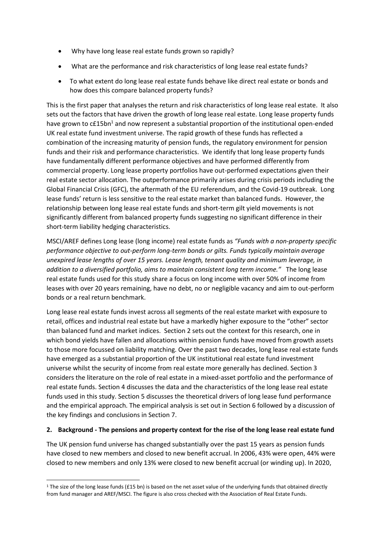- Why have long lease real estate funds grown so rapidly?
- What are the performance and risk characteristics of long lease real estate funds?
- To what extent do long lease real estate funds behave like direct real estate or bonds and how does this compare balanced property funds?

This is the first paper that analyses the return and risk characteristics of long lease real estate. It also sets out the factors that have driven the growth of long lease real estate. Long lease property funds have grown to  $cE15bn<sup>1</sup>$  and now represent a substantial proportion of the institutional open-ended UK real estate fund investment universe. The rapid growth of these funds has reflected a combination of the increasing maturity of pension funds, the regulatory environment for pension funds and their risk and performance characteristics. We identify that long lease property funds have fundamentally different performance objectives and have performed differently from commercial property. Long lease property portfolios have out-performed expectations given their real estate sector allocation. The outperformance primarily arises during crisis periods including the Global Financial Crisis (GFC), the aftermath of the EU referendum, and the Covid-19 outbreak. Long lease funds' return is less sensitive to the real estate market than balanced funds. However, the relationship between long lease real estate funds and short-term gilt yield movements is not significantly different from balanced property funds suggesting no significant difference in their short-term liability hedging characteristics.

MSCI/AREF defines Long lease (long income) real estate funds as *"Funds with a non-property specific performance objective to out-perform long-term bonds or gilts. Funds typically maintain average unexpired lease lengths of over 15 years. Lease length, tenant quality and minimum leverage, in addition to a diversified portfolio, aims to maintain consistent long term income."* The long lease real estate funds used for this study share a focus on long income with over 50% of income from leases with over 20 years remaining, have no debt, no or negligible vacancy and aim to out-perform bonds or a real return benchmark.

Long lease real estate funds invest across all segments of the real estate market with exposure to retail, offices and industrial real estate but have a markedly higher exposure to the "other" sector than balanced fund and market indices. Section 2 sets out the context for this research, one in which bond yields have fallen and allocations within pension funds have moved from growth assets to those more focussed on liability matching. Over the past two decades, long lease real estate funds have emerged as a substantial proportion of the UK institutional real estate fund investment universe whilst the security of income from real estate more generally has declined. Section 3 considers the literature on the role of real estate in a mixed-asset portfolio and the performance of real estate funds. Section 4 discusses the data and the characteristics of the long lease real estate funds used in this study. Section 5 discusses the theoretical drivers of long lease fund performance and the empirical approach. The empirical analysis is set out in Section 6 followed by a discussion of the key findings and conclusions in Section 7.

## **2. Background - The pensions and property context for the rise of the long lease real estate fund**

The UK pension fund universe has changed substantially over the past 15 years as pension funds have closed to new members and closed to new benefit accrual. In 2006, 43% were open, 44% were closed to new members and only 13% were closed to new benefit accrual (or winding up). In 2020,

<sup>&</sup>lt;sup>1</sup> The size of the long lease funds (£15 bn) is based on the net asset value of the underlying funds that obtained directly from fund manager and AREF/MSCI. The figure is also cross checked with the Association of Real Estate Funds.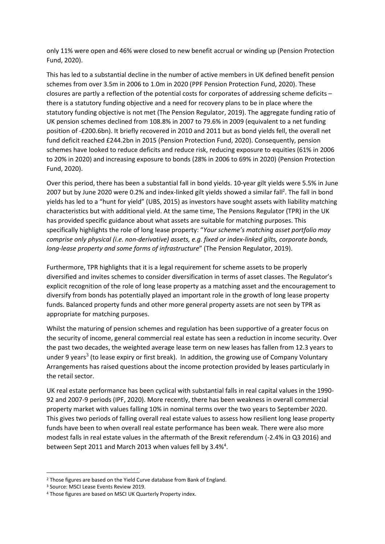only 11% were open and 46% were closed to new benefit accrual or winding up (Pension Protection Fund, 2020).

This has led to a substantial decline in the number of active members in UK defined benefit pension schemes from over 3.5m in 2006 to 1.0m in 2020 (PPF Pension Protection Fund, 2020). These closures are partly a reflection of the potential costs for corporates of addressing scheme deficits – there is a statutory funding objective and a need for recovery plans to be in place where the statutory funding objective is not met (The Pension Regulator, 2019). The aggregate funding ratio of UK pension schemes declined from 108.8% in 2007 to 79.6% in 2009 (equivalent to a net funding position of -£200.6bn). It briefly recovered in 2010 and 2011 but as bond yields fell, the overall net fund deficit reached £244.2bn in 2015 (Pension Protection Fund, 2020). Consequently, pension schemes have looked to reduce deficits and reduce risk, reducing exposure to equities (61% in 2006 to 20% in 2020) and increasing exposure to bonds (28% in 2006 to 69% in 2020) (Pension Protection Fund, 2020).

Over this period, there has been a substantial fall in bond yields. 10-year gilt yields were 5.5% in June 2007 but by June 2020 were 0.2% and index-linked gilt yields showed a similar fall<sup>2</sup>. The fall in bond yields has led to a "hunt for yield" (UBS, 2015) as investors have sought assets with liability matching characteristics but with additional yield. At the same time, The Pensions Regulator (TPR) in the UK has provided specific guidance about what assets are suitable for matching purposes. This specifically highlights the role of long lease property: "*Your scheme's matching asset portfolio may comprise only physical (i.e. non-derivative) assets, e.g. fixed or index-linked gilts, corporate bonds, long-lease property and some forms of infrastructure*" (The Pension Regulator, 2019).

Furthermore, TPR highlights that it is a legal requirement for scheme assets to be properly diversified and invites schemes to consider diversification in terms of asset classes. The Regulator's explicit recognition of the role of long lease property as a matching asset and the encouragement to diversify from bonds has potentially played an important role in the growth of long lease property funds. Balanced property funds and other more general property assets are not seen by TPR as appropriate for matching purposes.

Whilst the maturing of pension schemes and regulation has been supportive of a greater focus on the security of income, general commercial real estate has seen a reduction in income security. Over the past two decades, the weighted average lease term on new leases has fallen from 12.3 years to under 9 years<sup>3</sup> (to lease expiry or first break). In addition, the growing use of Company Voluntary Arrangements has raised questions about the income protection provided by leases particularly in the retail sector.

UK real estate performance has been cyclical with substantial falls in real capital values in the 1990- 92 and 2007-9 periods (IPF, 2020). More recently, there has been weakness in overall commercial property market with values falling 10% in nominal terms over the two years to September 2020. This gives two periods of falling overall real estate values to assess how resilient long lease property funds have been to when overall real estate performance has been weak. There were also more modest falls in real estate values in the aftermath of the Brexit referendum (-2.4% in Q3 2016) and between Sept 2011 and March 2013 when values fell by 3.4%<sup>4</sup>.

<sup>2</sup> Those figures are based on the Yield Curve database from Bank of England.

<sup>3</sup> Source: MSCI Lease Events Review 2019.

<sup>4</sup> Those figures are based on MSCI UK Quarterly Property index.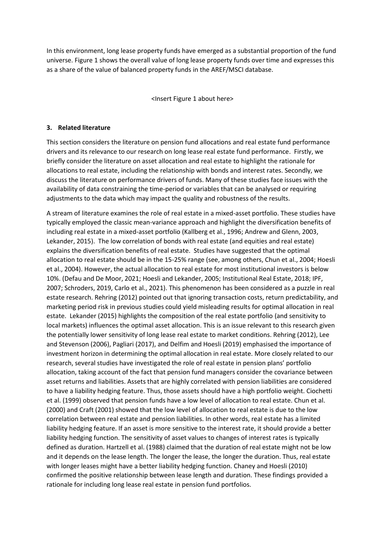In this environment, long lease property funds have emerged as a substantial proportion of the fund universe. Figure 1 shows the overall value of long lease property funds over time and expresses this as a share of the value of balanced property funds in the AREF/MSCI database.

<Insert Figure 1 about here>

## **3. Related literature**

This section considers the literature on pension fund allocations and real estate fund performance drivers and its relevance to our research on long lease real estate fund performance. Firstly, we briefly consider the literature on asset allocation and real estate to highlight the rationale for allocations to real estate, including the relationship with bonds and interest rates. Secondly, we discuss the literature on performance drivers of funds. Many of these studies face issues with the availability of data constraining the time-period or variables that can be analysed or requiring adjustments to the data which may impact the quality and robustness of the results.

A stream of literature examines the role of real estate in a mixed-asset portfolio. These studies have typically employed the classic mean-variance approach and highlight the diversification benefits of including real estate in a mixed-asset portfolio (Kallberg et al., 1996; Andrew and Glenn, 2003, Lekander, 2015). The low correlation of bonds with real estate (and equities and real estate) explains the diversification benefits of real estate. Studies have suggested that the optimal allocation to real estate should be in the 15-25% range (see, among others, Chun et al., 2004; Hoesli et al., 2004). However, the actual allocation to real estate for most institutional investors is below 10%. (Defau and De Moor, 2021; Hoesli and Lekander, 2005; Institutional Real Estate, 2018; IPF, 2007; Schroders, 2019, Carlo et al., 2021). This phenomenon has been considered as a puzzle in real estate research. Rehring (2012) pointed out that ignoring transaction costs, return predictability, and marketing period risk in previous studies could yield misleading results for optimal allocation in real estate. Lekander (2015) highlights the composition of the real estate portfolio (and sensitivity to local markets) influences the optimal asset allocation. This is an issue relevant to this research given the potentially lower sensitivity of long lease real estate to market conditions. Rehring (2012), Lee and Stevenson (2006), Pagliari (2017), and Delfim and Hoesli (2019) emphasised the importance of investment horizon in determining the optimal allocation in real estate. More closely related to our research, several studies have investigated the role of real estate in pension plans' portfolio allocation, taking account of the fact that pension fund managers consider the covariance between asset returns and liabilities. Assets that are highly correlated with pension liabilities are considered to have a liability hedging feature. Thus, those assets should have a high portfolio weight. Ciochetti et al. (1999) observed that pension funds have a low level of allocation to real estate. Chun et al. (2000) and Craft (2001) showed that the low level of allocation to real estate is due to the low correlation between real estate and pension liabilities. In other words, real estate has a limited liability hedging feature. If an asset is more sensitive to the interest rate, it should provide a better liability hedging function. The sensitivity of asset values to changes of interest rates is typically defined as duration. Hartzell et al. (1988) claimed that the duration of real estate might not be low and it depends on the lease length. The longer the lease, the longer the duration. Thus, real estate with longer leases might have a better liability hedging function. Chaney and Hoesli (2010) confirmed the positive relationship between lease length and duration. These findings provided a rationale for including long lease real estate in pension fund portfolios.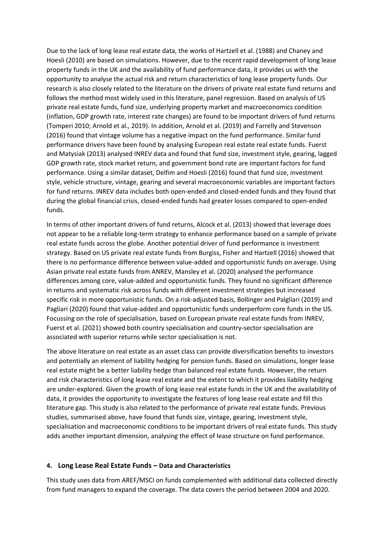Due to the lack of long lease real estate data, the works of Hartzell et al. (1988) and Chaney and Hoesli (2010) are based on simulations. However, due to the recent rapid development of long lease property funds in the UK and the availability of fund performance data, it provides us with the opportunity to analyse the actual risk and return characteristics of long lease property funds. Our research is also closely related to the literature on the drivers of private real estate fund returns and follows the method most widely used in this literature, panel regression. Based on analysis of US private real estate funds, fund size, underlying property market and macroeconomics condition (inflation, GDP growth rate, interest rate changes) are found to be important drivers of fund returns (Tomperi 2010; Arnold et al., 2019). In addition, Arnold et al. (2019) and Farrelly and Stevenson (2016) found that vintage volume has a negative impact on the fund performance. Similar fund performance drivers have been found by analysing European real estate real estate funds. Fuerst and Matysiak (2013) analysed INREV data and found that fund size, investment style, gearing, lagged GDP growth rate, stock market return, and government bond rate are important factors for fund performance. Using a similar dataset, Delfim and Hoesli (2016) found that fund size, investment style, vehicle structure, vintage, gearing and several macroeconomic variables are important factors for fund returns. INREV data includes both open-ended and closed-ended funds and they found that during the global financial crisis, closed-ended funds had greater losses compared to open-ended funds.

In terms of other important drivers of fund returns, Alcock et al. (2013) showed that leverage does not appear to be a reliable long-term strategy to enhance performance based on a sample of private real estate funds across the globe. Another potential driver of fund performance is investment strategy. Based on US private real estate funds from Burgiss, Fisher and Hartzell (2016) showed that there is no performance difference between value-added and opportunistic funds on average. Using Asian private real estate funds from ANREV, Mansley et al. (2020) analysed the performance differences among core, value-added and opportunistic funds. They found no significant difference in returns and systematic risk across funds with different investment strategies but increased specific risk in more opportunistic funds. On a risk-adjusted basis, Bollinger and Palgliari (2019) and Pagliari (2020) found that value-added and opportunistic funds underperform core funds in the US. Focussing on the role of specialisation, based on European private real estate funds from INREV, Fuerst et al. (2021) showed both country specialisation and country-sector specialisation are associated with superior returns while sector specialisation is not.

The above literature on real estate as an asset class can provide diversification benefits to investors and potentially an element of liability hedging for pension funds. Based on simulations, longer lease real estate might be a better liability hedge than balanced real estate funds. However, the return and risk characteristics of long lease real estate and the extent to which it provides liability hedging are under-explored. Given the growth of long lease real estate funds in the UK and the availability of data, it provides the opportunity to investigate the features of long lease real estate and fill this literature gap. This study is also related to the performance of private real estate funds. Previous studies, summarised above, have found that funds size, vintage, gearing, investment style, specialisation and macroeconomic conditions to be important drivers of real estate funds. This study adds another important dimension, analysing the effect of lease structure on fund performance.

## **4. Long Lease Real Estate Funds – Data and Characteristics**

This study uses data from AREF/MSCI on funds complemented with additional data collected directly from fund managers to expand the coverage. The data covers the period between 2004 and 2020.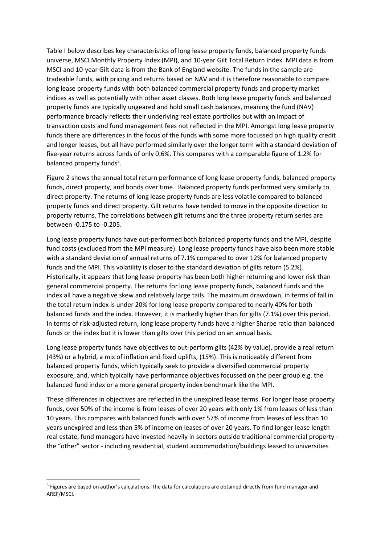Table I below describes key characteristics of long lease property funds, balanced property funds universe, MSCI Monthly Property Index (MPI), and 10-year Gilt Total Return Index. MPI data is from MSCI and 10-year Gilt data is from the Bank of England website. The funds in the sample are tradeable funds, with pricing and returns based on NAV and it is therefore reasonable to compare long lease property funds with both balanced commercial property funds and property market indices as well as potentially with other asset classes. Both long lease property funds and balanced property funds are typically ungeared and hold small cash balances, meaning the fund (NAV) performance broadly reflects their underlying real estate portfolios but with an impact of transaction costs and fund management fees not reflected in the MPI. Amongst long lease property funds there are differences in the focus of the funds with some more focussed on high quality credit and longer leases, but all have performed similarly over the longer term with a standard deviation of five-year returns across funds of only 0.6%. This compares with a comparable figure of 1.2% for balanced property funds<sup>5</sup>.

Figure 2 shows the annual total return performance of long lease property funds, balanced property funds, direct property, and bonds over time. Balanced property funds performed very similarly to direct property. The returns of long lease property funds are less volatile compared to balanced property funds and direct property. Gilt returns have tended to move in the opposite direction to property returns. The correlations between gilt returns and the three property return series are between -0.175 to -0.205.

Long lease property funds have out-performed both balanced property funds and the MPI, despite fund costs (excluded from the MPI measure). Long lease property funds have also been more stable with a standard deviation of annual returns of 7.1% compared to over 12% for balanced property funds and the MPI. This volatility is closer to the standard deviation of gilts return (5.2%). Historically, it appears that long lease property has been both higher returning and lower risk than general commercial property. The returns for long lease property funds, balanced funds and the index all have a negative skew and relatively large tails. The maximum drawdown, in terms of fall in the total return index is under 20% for long lease property compared to nearly 40% for both balanced funds and the index. However, it is markedly higher than for gilts (7.1%) over this period. In terms of risk-adjusted return, long lease property funds have a higher Sharpe ratio than balanced funds or the index but it is lower than gilts over this period on an annual basis.

Long lease property funds have objectives to out-perform gilts (42% by value), provide a real return (43%) or a hybrid, a mix of inflation and fixed uplifts, (15%). This is noticeably different from balanced property funds, which typically seek to provide a diversified commercial property exposure, and, which typically have performance objectives focussed on the peer group e.g. the balanced fund index or a more general property index benchmark like the MPI.

These differences in objectives are reflected in the unexpired lease terms. For longer lease property funds, over 50% of the income is from leases of over 20 years with only 1% from leases of less than 10 years. This compares with balanced funds with over 57% of income from leases of less than 10 years unexpired and less than 5% of income on leases of over 20 years. To find longer lease length real estate, fund managers have invested heavily in sectors outside traditional commercial property the "other" sector - including residential, student accommodation/buildings leased to universities

<sup>&</sup>lt;sup>5</sup> Figures are based on author's calculations. The data for calculations are obtained directly from fund manager and AREF/MSCI.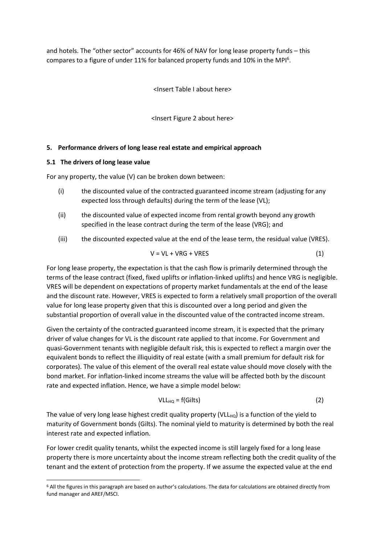and hotels. The "other sector" accounts for 46% of NAV for long lease property funds – this compares to a figure of under 11% for balanced property funds and 10% in the MPI<sup>6</sup>.

<Insert Table I about here>

<Insert Figure 2 about here>

## **5. Performance drivers of long lease real estate and empirical approach**

## **5.1 The drivers of long lease value**

For any property, the value (V) can be broken down between:

- (i) the discounted value of the contracted guaranteed income stream (adjusting for any expected loss through defaults) during the term of the lease (VL);
- (ii) the discounted value of expected income from rental growth beyond any growth specified in the lease contract during the term of the lease (VRG); and
- (iii) the discounted expected value at the end of the lease term, the residual value (VRES).

$$
V = V L + V R G + V R E S \tag{1}
$$

For long lease property, the expectation is that the cash flow is primarily determined through the terms of the lease contract (fixed, fixed uplifts or inflation-linked uplifts) and hence VRG is negligible. VRES will be dependent on expectations of property market fundamentals at the end of the lease and the discount rate. However, VRES is expected to form a relatively small proportion of the overall value for long lease property given that this is discounted over a long period and given the substantial proportion of overall value in the discounted value of the contracted income stream.

Given the certainty of the contracted guaranteed income stream, it is expected that the primary driver of value changes for VL is the discount rate applied to that income. For Government and quasi-Government tenants with negligible default risk, this is expected to reflect a margin over the equivalent bonds to reflect the illiquidity of real estate (with a small premium for default risk for corporates). The value of this element of the overall real estate value should move closely with the bond market. For inflation-linked income streams the value will be affected both by the discount rate and expected inflation. Hence, we have a simple model below:

$$
VLL_{HQ} = f(Gilts)
$$
 (2)

The value of very long lease highest credit quality property (VLL $_{HO}$ ) is a function of the yield to maturity of Government bonds (Gilts). The nominal yield to maturity is determined by both the real interest rate and expected inflation.

For lower credit quality tenants, whilst the expected income is still largely fixed for a long lease property there is more uncertainty about the income stream reflecting both the credit quality of the tenant and the extent of protection from the property. If we assume the expected value at the end

<sup>6</sup> All the figures in this paragraph are based on author's calculations. The data for calculations are obtained directly from fund manager and AREF/MSCI.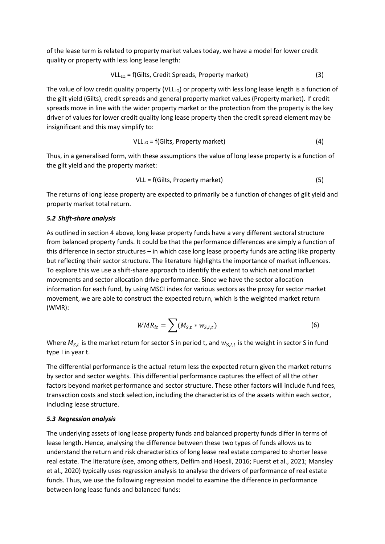of the lease term is related to property market values today, we have a model for lower credit quality or property with less long lease length:

$$
VLL_{LQ} = f(Gilts, Credit Spreads, Property market)
$$
 (3)

The value of low credit quality property (VLL $_{10}$ ) or property with less long lease length is a function of the gilt yield (Gilts), credit spreads and general property market values (Property market). If credit spreads move in line with the wider property market or the protection from the property is the key driver of values for lower credit quality long lease property then the credit spread element may be insignificant and this may simplify to:

$$
VLL_{LQ} = f(Gilts, Property market)
$$
 (4)

Thus, in a generalised form, with these assumptions the value of long lease property is a function of the gilt yield and the property market:

VLL = f(Gilts, Property market) (5)

The returns of long lease property are expected to primarily be a function of changes of gilt yield and property market total return.

#### *5.2 Shift-share analysis*

As outlined in section 4 above, long lease property funds have a very different sectoral structure from balanced property funds. It could be that the performance differences are simply a function of this difference in sector structures – in which case long lease property funds are acting like property but reflecting their sector structure. The literature highlights the importance of market influences. To explore this we use a shift-share approach to identify the extent to which national market movements and sector allocation drive performance. Since we have the sector allocation information for each fund, by using MSCI index for various sectors as the proxy for sector market movement, we are able to construct the expected return, which is the weighted market return (WMR):

$$
WMR_{it} = \sum (M_{S,t} * w_{S,I,t})
$$
\n(6)

Where  $M_{S,t}$  is the market return for sector S in period t, and  $w_{S,I,t}$  is the weight in sector S in fund type I in year t.

The differential performance is the actual return less the expected return given the market returns by sector and sector weights. This differential performance captures the effect of all the other factors beyond market performance and sector structure. These other factors will include fund fees, transaction costs and stock selection, including the characteristics of the assets within each sector, including lease structure.

## *5.3 Regression analysis*

The underlying assets of long lease property funds and balanced property funds differ in terms of lease length. Hence, analysing the difference between these two types of funds allows us to understand the return and risk characteristics of long lease real estate compared to shorter lease real estate. The literature (see, among others, Delfim and Hoesli, 2016; Fuerst et al., 2021; Mansley et al., 2020) typically uses regression analysis to analyse the drivers of performance of real estate funds. Thus, we use the following regression model to examine the difference in performance between long lease funds and balanced funds: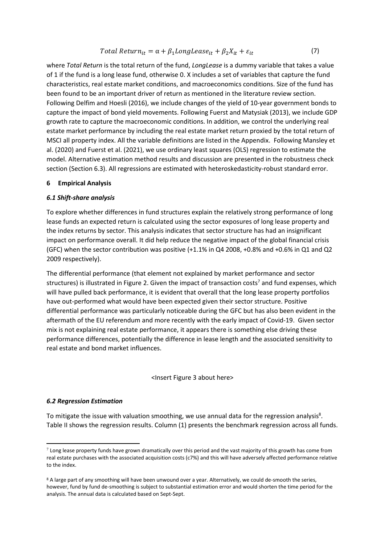$$
Total Return_{it} = \alpha + \beta_1 LongLease_{it} + \beta_2 X_{it} + \varepsilon_{it}
$$
\n(7)

where *Total Return* is the total return of the fund, *LongLease* is a dummy variable that takes a value of 1 if the fund is a long lease fund, otherwise 0. X includes a set of variables that capture the fund characteristics, real estate market conditions, and macroeconomics conditions. Size of the fund has been found to be an important driver of return as mentioned in the literature review section. Following Delfim and Hoesli (2016), we include changes of the yield of 10-year government bonds to capture the impact of bond yield movements. Following Fuerst and Matysiak (2013), we include GDP growth rate to capture the macroeconomic conditions. In addition, we control the underlying real estate market performance by including the real estate market return proxied by the total return of MSCI all property index. All the variable definitions are listed in the Appendix. Following Mansley et al. (2020) and Fuerst et al. (2021), we use ordinary least squares (OLS) regression to estimate the model. Alternative estimation method results and discussion are presented in the robustness check section (Section 6.3). All regressions are estimated with heteroskedasticity-robust standard error.

## **6 Empirical Analysis**

#### *6.1 Shift-share analysis*

To explore whether differences in fund structures explain the relatively strong performance of long lease funds an expected return is calculated using the sector exposures of long lease property and the index returns by sector. This analysis indicates that sector structure has had an insignificant impact on performance overall. It did help reduce the negative impact of the global financial crisis (GFC) when the sector contribution was positive (+1.1% in Q4 2008, +0.8% and +0.6% in Q1 and Q2 2009 respectively).

The differential performance (that element not explained by market performance and sector structures) is illustrated in Figure 2. Given the impact of transaction costs<sup>7</sup> and fund expenses, which will have pulled back performance, it is evident that overall that the long lease property portfolios have out-performed what would have been expected given their sector structure. Positive differential performance was particularly noticeable during the GFC but has also been evident in the aftermath of the EU referendum and more recently with the early impact of Covid-19. Given sector mix is not explaining real estate performance, it appears there is something else driving these performance differences, potentially the difference in lease length and the associated sensitivity to real estate and bond market influences.

#### <Insert Figure 3 about here>

#### *6.2 Regression Estimation*

To mitigate the issue with valuation smoothing, we use annual data for the regression analysis<sup>8</sup>. Table II shows the regression results. Column (1) presents the benchmark regression across all funds.

 $^7$  Long lease property funds have grown dramatically over this period and the vast majority of this growth has come from real estate purchases with the associated acquisition costs (c7%) and this will have adversely affected performance relative to the index.

<sup>8</sup> A large part of any smoothing will have been unwound over a year. Alternatively, we could de-smooth the series, however, fund by fund de-smoothing is subject to substantial estimation error and would shorten the time period for the analysis. The annual data is calculated based on Sept-Sept.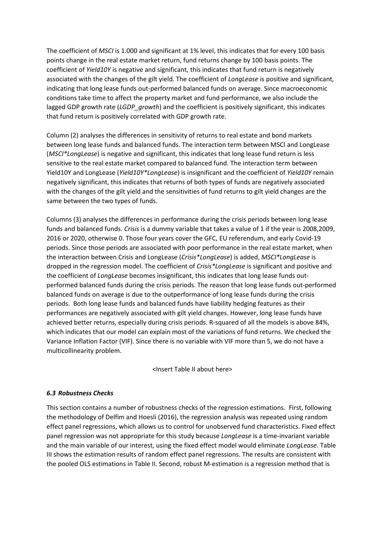The coefficient of *MSCI* is 1.000 and significant at 1% level, this indicates that for every 100 basis points change in the real estate market return, fund returns change by 100 basis points. The coefficient of *Yield10Y* is negative and significant, this indicates that fund return is negatively associated with the changes of the gilt yield. The coefficient of *LongLease* is positive and significant, indicating that long lease funds out-performed balanced funds on average. Since macroeconomic conditions take time to affect the property market and fund performance, we also include the lagged GDP growth rate (*LGDP growth*) and the coefficient is positively significant, this indicates that fund return is positively correlated with GDP growth rate.

Column (2) analyses the differences in sensitivity of returns to real estate and bond markets between long lease funds and balanced funds. The interaction term between MSCI and LongLease (*MSCI\*LongLease*) is negative and significant, this indicates that long lease fund return is less sensitive to the real estate market compared to balanced fund. The interaction term between Yield10Y and LongLease (*Yield10Y\*LongLease*) is insignificant and the coefficient of *Yield10Y* remain negatively significant, this indicates that returns of both types of funds are negatively associated with the changes of the gilt yield and the sensitivities of fund returns to gilt yield changes are the same between the two types of funds.

Columns (3) analyses the differences in performance during the crisis periods between long lease funds and balanced funds. *Crisis* is a dummy variable that takes a value of 1 if the year is 2008,2009, 2016 or 2020, otherwise 0. Those four years cover the GFC, EU referendum, and early Covid-19 periods. Since those periods are associated with poor performance in the real estate market, when the interaction between Crisis and LongLease (*Crisis\*LongLease*) is added, *MSCI\*LongLease* is dropped in the regression model. The coefficient of *Crisis\*LongLease* is significant and positive and the coefficient of *LongLease* becomes insignificant, this indicates that long lease funds outperformed balanced funds during the crisis periods. The reason that long lease funds out-performed balanced funds on average is due to the outperformance of long lease funds during the crisis periods. Both long lease funds and balanced funds have liability hedging features as their performances are negatively associated with gilt yield changes. However, long lease funds have achieved better returns, especially during crisis periods. R-squared of all the models is above 84%, which indicates that our model can explain most of the variations of fund returns. We checked the Variance Inflation Factor (VIF). Since there is no variable with VIF more than 5, we do not have a multicollinearity problem.

<Insert Table II about here>

## *6.3 Robustness Checks*

This section contains a number of robustness checks of the regression estimations. First, following the methodology of Delfim and Hoesli (2016), the regression analysis was repeated using random effect panel regressions, which allows us to control for unobserved fund characteristics. Fixed effect panel regression was not appropriate for this study because *LongLease* is a time-invariant variable and the main variable of our interest, using the fixed effect model would eliminate *LongLease*. Table III shows the estimation results of random effect panel regressions. The results are consistent with the pooled OLS estimations in Table II. Second, robust M-estimation is a regression method that is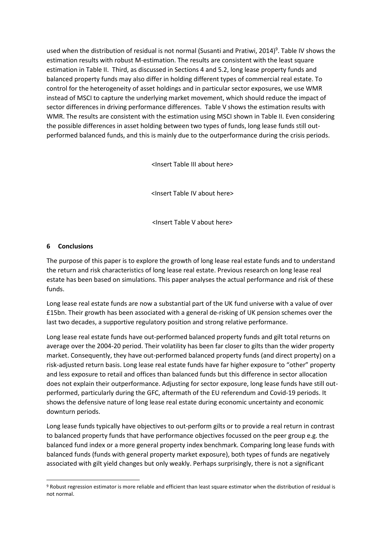used when the distribution of residual is not normal (Susanti and Pratiwi, 2014)<sup>9</sup>. Table IV shows the estimation results with robust M-estimation. The results are consistent with the least square estimation in Table II. Third, as discussed in Sections 4 and 5.2, long lease property funds and balanced property funds may also differ in holding different types of commercial real estate. To control for the heterogeneity of asset holdings and in particular sector exposures, we use WMR instead of MSCI to capture the underlying market movement, which should reduce the impact of sector differences in driving performance differences. Table V shows the estimation results with WMR. The results are consistent with the estimation using MSCI shown in Table II. Even considering the possible differences in asset holding between two types of funds, long lease funds still outperformed balanced funds, and this is mainly due to the outperformance during the crisis periods.

<Insert Table III about here>

<Insert Table IV about here>

<Insert Table V about here>

## **6 Conclusions**

The purpose of this paper is to explore the growth of long lease real estate funds and to understand the return and risk characteristics of long lease real estate. Previous research on long lease real estate has been based on simulations. This paper analyses the actual performance and risk of these funds.

Long lease real estate funds are now a substantial part of the UK fund universe with a value of over £15bn. Their growth has been associated with a general de-risking of UK pension schemes over the last two decades, a supportive regulatory position and strong relative performance.

Long lease real estate funds have out-performed balanced property funds and gilt total returns on average over the 2004-20 period. Their volatility has been far closer to gilts than the wider property market. Consequently, they have out-performed balanced property funds (and direct property) on a risk-adjusted return basis. Long lease real estate funds have far higher exposure to "other" property and less exposure to retail and offices than balanced funds but this difference in sector allocation does not explain their outperformance. Adjusting for sector exposure, long lease funds have still outperformed, particularly during the GFC, aftermath of the EU referendum and Covid-19 periods. It shows the defensive nature of long lease real estate during economic uncertainty and economic downturn periods.

Long lease funds typically have objectives to out-perform gilts or to provide a real return in contrast to balanced property funds that have performance objectives focussed on the peer group e.g. the balanced fund index or a more general property index benchmark. Comparing long lease funds with balanced funds (funds with general property market exposure), both types of funds are negatively associated with gilt yield changes but only weakly. Perhaps surprisingly, there is not a significant

<sup>9</sup> Robust regression estimator is more reliable and efficient than least square estimator when the distribution of residual is not normal.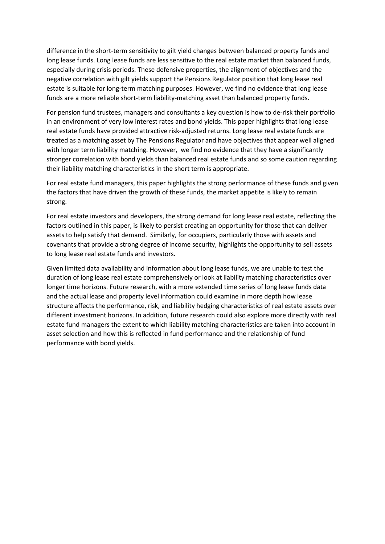difference in the short-term sensitivity to gilt yield changes between balanced property funds and long lease funds. Long lease funds are less sensitive to the real estate market than balanced funds, especially during crisis periods. These defensive properties, the alignment of objectives and the negative correlation with gilt yields support the Pensions Regulator position that long lease real estate is suitable for long-term matching purposes. However, we find no evidence that long lease funds are a more reliable short-term liability-matching asset than balanced property funds.

For pension fund trustees, managers and consultants a key question is how to de-risk their portfolio in an environment of very low interest rates and bond yields. This paper highlights that long lease real estate funds have provided attractive risk-adjusted returns. Long lease real estate funds are treated as a matching asset by The Pensions Regulator and have objectives that appear well aligned with longer term liability matching. However, we find no evidence that they have a significantly stronger correlation with bond yields than balanced real estate funds and so some caution regarding their liability matching characteristics in the short term is appropriate.

For real estate fund managers, this paper highlights the strong performance of these funds and given the factors that have driven the growth of these funds, the market appetite is likely to remain strong.

For real estate investors and developers, the strong demand for long lease real estate, reflecting the factors outlined in this paper, is likely to persist creating an opportunity for those that can deliver assets to help satisfy that demand. Similarly, for occupiers, particularly those with assets and covenants that provide a strong degree of income security, highlights the opportunity to sell assets to long lease real estate funds and investors.

Given limited data availability and information about long lease funds, we are unable to test the duration of long lease real estate comprehensively or look at liability matching characteristics over longer time horizons. Future research, with a more extended time series of long lease funds data and the actual lease and property level information could examine in more depth how lease structure affects the performance, risk, and liability hedging characteristics of real estate assets over different investment horizons. In addition, future research could also explore more directly with real estate fund managers the extent to which liability matching characteristics are taken into account in asset selection and how this is reflected in fund performance and the relationship of fund performance with bond yields.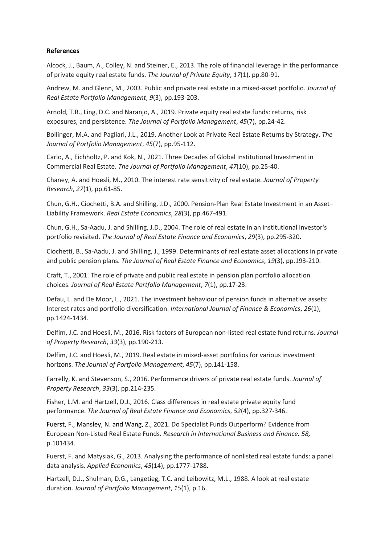## **References**

Alcock, J., Baum, A., Colley, N. and Steiner, E., 2013. The role of financial leverage in the performance of private equity real estate funds. *The Journal of Private Equity*, *17*(1), pp.80-91.

Andrew, M. and Glenn, M., 2003. Public and private real estate in a mixed-asset portfolio. *Journal of Real Estate Portfolio Management*, *9*(3), pp.193-203.

Arnold, T.R., Ling, D.C. and Naranjo, A., 2019. Private equity real estate funds: returns, risk exposures, and persistence. *The Journal of Portfolio Management*, *45*(7), pp.24-42.

Bollinger, M.A. and Pagliari, J.L., 2019. Another Look at Private Real Estate Returns by Strategy. *The Journal of Portfolio Management*, *45*(7), pp.95-112.

Carlo, A., Eichholtz, P. and Kok, N., 2021. Three Decades of Global Institutional Investment in Commercial Real Estate. *The Journal of Portfolio Management*, *47*(10), pp.25-40.

Chaney, A. and Hoesli, M., 2010. The interest rate sensitivity of real estate. *Journal of Property Research*, *27*(1), pp.61-85.

Chun, G.H., Ciochetti, B.A. and Shilling, J.D., 2000. Pension‐Plan Real Estate Investment in an Asset– Liability Framework. *Real Estate Economics*, *28*(3), pp.467-491.

Chun, G.H., Sa-Aadu, J. and Shilling, J.D., 2004. The role of real estate in an institutional investor's portfolio revisited. *The Journal of Real Estate Finance and Economics*, *29*(3), pp.295-320.

Ciochetti, B., Sa-Aadu, J. and Shilling, J., 1999. Determinants of real estate asset allocations in private and public pension plans. *The Journal of Real Estate Finance and Economics*, *19*(3), pp.193-210.

Craft, T., 2001. The role of private and public real estate in pension plan portfolio allocation choices. *Journal of Real Estate Portfolio Management*, *7*(1), pp.17-23.

Defau, L. and De Moor, L., 2021. The investment behaviour of pension funds in alternative assets: Interest rates and portfolio diversification. *International Journal of Finance & Economics*, *26*(1), pp.1424-1434.

Delfim, J.C. and Hoesli, M., 2016. Risk factors of European non-listed real estate fund returns. *Journal of Property Research*, *33*(3), pp.190-213.

Delfim, J.C. and Hoesli, M., 2019. Real estate in mixed-asset portfolios for various investment horizons. *The Journal of Portfolio Management*, *45*(7), pp.141-158.

Farrelly, K. and Stevenson, S., 2016. Performance drivers of private real estate funds. *Journal of Property Research*, *33*(3), pp.214-235.

Fisher, L.M. and Hartzell, D.J., 2016. Class differences in real estate private equity fund performance. *The Journal of Real Estate Finance and Economics*, *52*(4), pp.327-346.

Fuerst, F., Mansley, N. and Wang, Z., 2021. Do Specialist Funds Outperform? Evidence from European Non-Listed Real Estate Funds. *Research in International Business and Finance. 58,*  p.101434.

Fuerst, F. and Matysiak, G., 2013. Analysing the performance of nonlisted real estate funds: a panel data analysis. *Applied Economics*, *45*(14), pp.1777-1788.

Hartzell, D.J., Shulman, D.G., Langetieg, T.C. and Leibowitz, M.L., 1988. A look at real estate duration. *Journal of Portfolio Management*, *15*(1), p.16.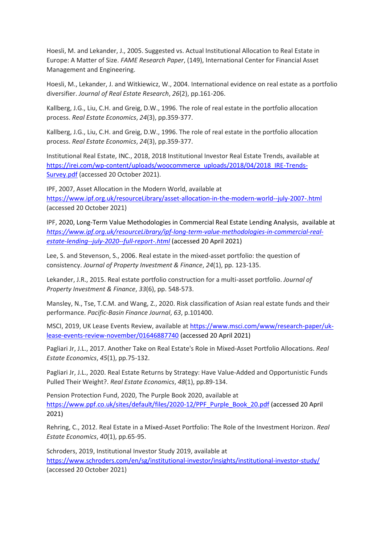Hoesli, M. and Lekander, J., 2005. Suggested vs. Actual Institutional Allocation to Real Estate in Europe: A Matter of Size. *FAME Research Paper*, (149), International Center for Financial Asset Management and Engineering.

Hoesli, M., Lekander, J. and Witkiewicz, W., 2004. International evidence on real estate as a portfolio diversifier. *Journal of Real Estate Research*, *26*(2), pp.161-206.

Kallberg, J.G., Liu, C.H. and Greig, D.W., 1996. The role of real estate in the portfolio allocation process. *Real Estate Economics*, *24*(3), pp.359-377.

Kallberg, J.G., Liu, C.H. and Greig, D.W., 1996. The role of real estate in the portfolio allocation process. *Real Estate Economics*, *24*(3), pp.359-377.

Institutional Real Estate, INC., 2018, 2018 Institutional Investor Real Estate Trends, available at [https://irei.com/wp-content/uploads/woocommerce\\_uploads/2018/04/2018\\_IRE-Trends-](https://irei.com/wp-content/uploads/woocommerce_uploads/2018/04/2018_IRE-Trends-Survey.pdf)[Survey.pdf](https://irei.com/wp-content/uploads/woocommerce_uploads/2018/04/2018_IRE-Trends-Survey.pdf) (accessed 20 October 2021).

IPF, 2007, Asset Allocation in the Modern World, available at <https://www.ipf.org.uk/resourceLibrary/asset-allocation-in-the-modern-world--july-2007-.html> (accessed 20 October 2021)

IPF, 2020, Long-Term Value Methodologies in Commercial Real Estate Lending Analysis, available at *[https://www.ipf.org.uk/resourceLibrary/ipf-long-term-value-methodologies-in-commercial-real](https://www.ipf.org.uk/resourceLibrary/ipf-long-term-value-methodologies-in-commercial-real-estate-lending--july-2020--full-report-.html)[estate-lending--july-2020--full-report-.html](https://www.ipf.org.uk/resourceLibrary/ipf-long-term-value-methodologies-in-commercial-real-estate-lending--july-2020--full-report-.html)* (accessed 20 April 2021)

Lee, S. and Stevenson, S., 2006. Real estate in the mixed‐asset portfolio: the question of consistency. *Journal of Property Investment & Finance*, *24*(1), pp. 123-135.

Lekander, J.R., 2015. Real estate portfolio construction for a multi-asset portfolio. *Journal of Property Investment & Finance*, *33*(6), pp. 548-573.

Mansley, N., Tse, T.C.M. and Wang, Z., 2020. Risk classification of Asian real estate funds and their performance. *Pacific-Basin Finance Journal*, *63*, p.101400.

MSCI, 2019, UK Lease Events Review, available at [https://www.msci.com/www/research-paper/uk](https://www.msci.com/www/research-paper/uk-lease-events-review-november/01646887740)[lease-events-review-november/01646887740](https://www.msci.com/www/research-paper/uk-lease-events-review-november/01646887740) (accessed 20 April 2021)

Pagliari Jr, J.L., 2017. Another Take on Real Estate's Role in Mixed‐Asset Portfolio Allocations. *Real Estate Economics*, *45*(1), pp.75-132.

Pagliari Jr, J.L., 2020. Real Estate Returns by Strategy: Have Value‐Added and Opportunistic Funds Pulled Their Weight?. *Real Estate Economics*, *48*(1), pp.89-134.

Pension Protection Fund, 2020, The Purple Book 2020, available at [https://www.ppf.co.uk/sites/default/files/2020-12/PPF\\_Purple\\_Book\\_20.pdf](https://www.ppf.co.uk/sites/default/files/2020-12/PPF_Purple_Book_20.pdf) (accessed 20 April 2021)

Rehring, C., 2012. Real Estate in a Mixed‐Asset Portfolio: The Role of the Investment Horizon. *Real Estate Economics*, *40*(1), pp.65-95.

Schroders, 2019, Institutional Investor Study 2019, available at <https://www.schroders.com/en/sg/institutional-investor/insights/institutional-investor-study/> (accessed 20 October 2021)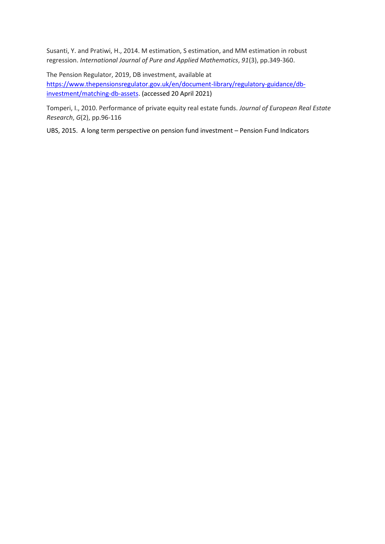Susanti, Y. and Pratiwi, H., 2014. M estimation, S estimation, and MM estimation in robust regression. *International Journal of Pure and Applied Mathematics*, *91*(3), pp.349-360.

The Pension Regulator, 2019, DB investment, available at [https://www.thepensionsregulator.gov.uk/en/document-library/regulatory-guidance/db](https://www.thepensionsregulator.gov.uk/en/document-library/regulatory-guidance/db-investment/matching-db-assets)[investment/matching-db-assets.](https://www.thepensionsregulator.gov.uk/en/document-library/regulatory-guidance/db-investment/matching-db-assets) (accessed 20 April 2021)

Tomperi, I., 2010. Performance of private equity real estate funds. *Journal of European Real Estate Research*, *G*(2), pp.96-116

UBS, 2015. A long term perspective on pension fund investment – Pension Fund Indicators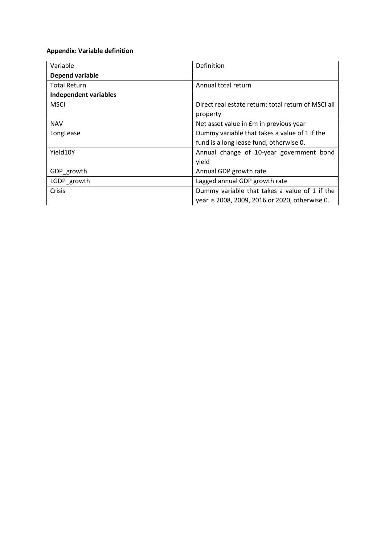## **Appendix: Variable definition**

| Variable                     | Definition                                          |  |
|------------------------------|-----------------------------------------------------|--|
| Depend variable              |                                                     |  |
| <b>Total Return</b>          | Annual total return                                 |  |
| <b>Independent variables</b> |                                                     |  |
| <b>MSCI</b>                  | Direct real estate return: total return of MSCI all |  |
|                              | property                                            |  |
| <b>NAV</b>                   | Net asset value in £m in previous year              |  |
| LongLease                    | Dummy variable that takes a value of 1 if the       |  |
|                              | fund is a long lease fund, otherwise 0.             |  |
| Yield10Y                     | Annual change of 10-year government bond            |  |
|                              | yield                                               |  |
| GDP_growth                   | Annual GDP growth rate                              |  |
| LGDP growth                  | Lagged annual GDP growth rate                       |  |
| Crisis                       | Dummy variable that takes a value of 1 if the       |  |
|                              | year is 2008, 2009, 2016 or 2020, otherwise 0.      |  |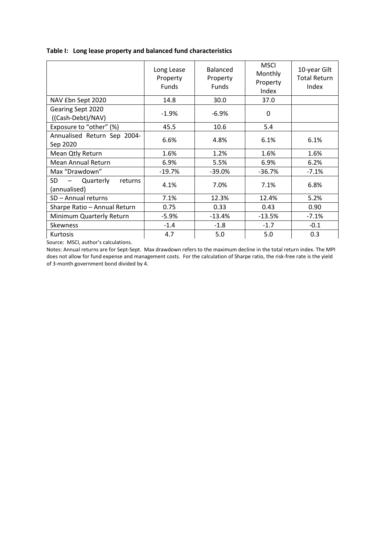|  | Table I: Long lease property and balanced fund characteristics |  |  |
|--|----------------------------------------------------------------|--|--|
|--|----------------------------------------------------------------|--|--|

|                                            | Long Lease<br>Property<br><b>Funds</b> | <b>Balanced</b><br>Property<br>Funds | <b>MSCI</b><br>Monthly<br>Property<br>Index | 10-year Gilt<br><b>Total Return</b><br>Index |
|--------------------------------------------|----------------------------------------|--------------------------------------|---------------------------------------------|----------------------------------------------|
| NAV £bn Sept 2020                          | 14.8                                   | 30.0                                 | 37.0                                        |                                              |
| Gearing Sept 2020<br>((Cash-Debt)/NAV)     | $-1.9%$                                | $-6.9%$                              | 0                                           |                                              |
| Exposure to "other" (%)                    | 45.5                                   | 10.6                                 | 5.4                                         |                                              |
| Annualised Return Sep 2004-<br>Sep 2020    | 6.6%                                   | 4.8%                                 | 6.1%                                        | 6.1%                                         |
| Mean Qtly Return                           | 1.6%                                   | 1.2%                                 | 1.6%                                        | 1.6%                                         |
| <b>Mean Annual Return</b>                  | 6.9%                                   | 5.5%                                 | 6.9%                                        | 6.2%                                         |
| Max "Drawdown"                             | $-19.7%$                               | $-39.0%$                             | $-36.7%$                                    | $-7.1%$                                      |
| SD<br>Quarterly<br>returns<br>(annualised) | 4.1%                                   | 7.0%                                 | 7.1%                                        | 6.8%                                         |
| SD - Annual returns                        | 7.1%                                   | 12.3%                                | 12.4%                                       | 5.2%                                         |
| Sharpe Ratio - Annual Return               | 0.75                                   | 0.33                                 | 0.43                                        | 0.90                                         |
| Minimum Quarterly Return                   | $-5.9%$                                | $-13.4%$                             | $-13.5%$                                    | $-7.1%$                                      |
| <b>Skewness</b>                            | $-1.4$                                 | $-1.8$                               | $-1.7$                                      | $-0.1$                                       |
| <b>Kurtosis</b>                            | 4.7                                    | 5.0                                  | 5.0                                         | 0.3                                          |

Source: MSCI, author's calculations.

Notes: Annual returns are for Sept-Sept. Max drawdown refers to the maximum decline in the total return index. The MPI does not allow for fund expense and management costs. For the calculation of Sharpe ratio, the risk-free rate is the yield of 3-month government bond divided by 4.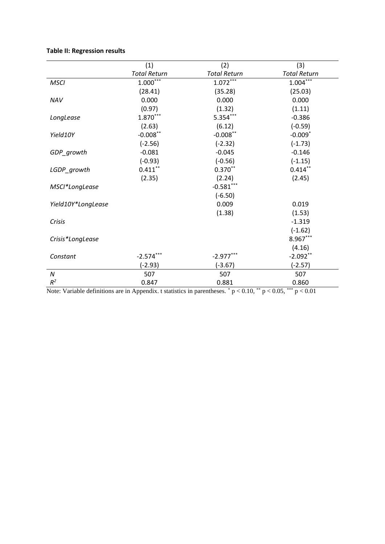## **Table II: Regression results**

|                    | (1)                 | (2)                 | (3)                   |
|--------------------|---------------------|---------------------|-----------------------|
|                    | <b>Total Return</b> | <b>Total Return</b> | <b>Total Return</b>   |
| <b>MSCI</b>        | $1.000***$          | $1.072***$          | $1.004***$            |
|                    | (28.41)             | (35.28)             | (25.03)               |
| <b>NAV</b>         | 0.000               | 0.000               | 0.000                 |
|                    | (0.97)              | (1.32)              | (1.11)                |
| LongLease          | $1.870***$          | $5.354***$          | $-0.386$              |
|                    | (2.63)              | (6.12)              | $(-0.59)$             |
| Yield10Y           | $-0.008**$          | $-0.008**$          | $-0.009$ <sup>*</sup> |
|                    | $(-2.56)$           | $(-2.32)$           | $(-1.73)$             |
| GDP_growth         | $-0.081$            | $-0.045$            | $-0.146$              |
|                    | $(-0.93)$           | $(-0.56)$           | $(-1.15)$             |
| LGDP_growth        | $0.411***$          | $0.370**$           | $0.414***$            |
|                    | (2.35)              | (2.24)              | (2.45)                |
| MSCI*LongLease     |                     | $-0.581***$         |                       |
|                    |                     | $(-6.50)$           |                       |
| Yield10Y*LongLease |                     | 0.009               | 0.019                 |
|                    |                     | (1.38)              | (1.53)                |
| Crisis             |                     |                     | $-1.319$              |
|                    |                     |                     | $(-1.62)$             |
| Crisis*LongLease   |                     |                     | $8.967***$            |
|                    |                     |                     | (4.16)                |
| Constant           | $-2.574***$         | $-2.977***$         | $-2.092**$            |
|                    | $(-2.93)$           | $(-3.67)$           | $(-2.57)$             |
| N                  | 507                 | 507                 | 507                   |
| $R^2$              | 0.847               | 0.881               | 0.860                 |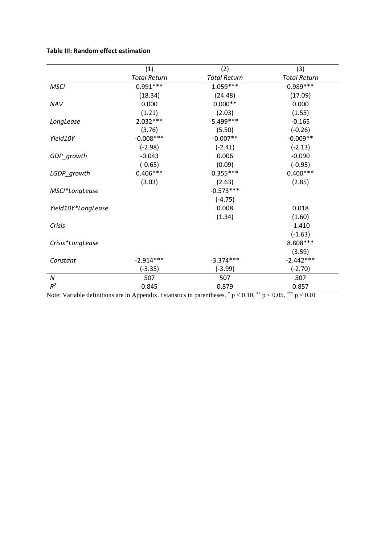## **Table III: Random effect estimation**

|                    | (1)                 | (2)                 | (3)                 |
|--------------------|---------------------|---------------------|---------------------|
|                    | <b>Total Return</b> | <b>Total Return</b> | <b>Total Return</b> |
| <b>MSCI</b>        | $0.991***$          | $1.059***$          | $0.989***$          |
|                    | (18.34)             | (24.48)             | (17.09)             |
| NAV                | 0.000               | $0.000**$           | 0.000               |
|                    | (1.21)              | (2.03)              | (1.55)              |
| LongLease          | $2.032***$          | 5.499 ***           | $-0.165$            |
|                    | (3.76)              | (5.50)              | $(-0.26)$           |
| Yield10Y           | $-0.008***$         | $-0.007**$          | $-0.009**$          |
|                    | $(-2.98)$           | $(-2.41)$           | $(-2.13)$           |
| GDP_growth         | $-0.043$            | 0.006               | $-0.090$            |
|                    | $(-0.65)$           | (0.09)              | $(-0.95)$           |
| LGDP_growth        | $0.406***$          | $0.355***$          | $0.400***$          |
|                    | (3.03)              | (2.63)              | (2.85)              |
| MSCI*LongLease     |                     | $-0.573***$         |                     |
|                    |                     | $(-4.75)$           |                     |
| Yield10Y*LongLease |                     | 0.008               | 0.018               |
|                    |                     | (1.34)              | (1.60)              |
| Crisis             |                     |                     | $-1.410$            |
|                    |                     |                     | $(-1.63)$           |
| Crisis*LongLease   |                     |                     | 8.808 ***           |
|                    |                     |                     | (3.59)              |
| Constant           | $-2.914***$         | $-3.374***$         | $-2.442***$         |
|                    | $(-3.35)$           | $(-3.99)$           | $(-2.70)$           |
| N                  | 507                 | 507                 | 507                 |
| $R^2$              | 0.845               | 0.879               | 0.857               |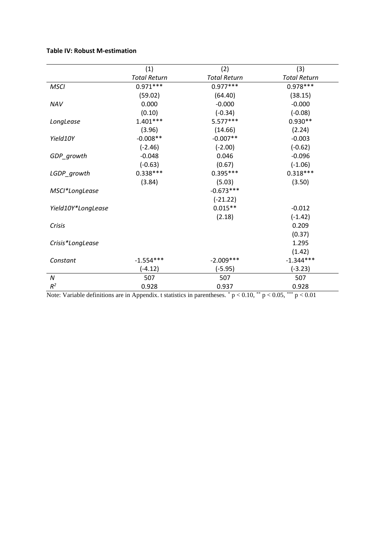## **Table IV: Robust M-estimation**

|                    | (1)                 | (2)                 | (3)                 |
|--------------------|---------------------|---------------------|---------------------|
|                    | <b>Total Return</b> | <b>Total Return</b> | <b>Total Return</b> |
| <b>MSCI</b>        | $0.971***$          | $0.977***$          | $0.978***$          |
|                    | (59.02)             | (64.40)             | (38.15)             |
| NAV                | 0.000               | $-0.000$            | $-0.000$            |
|                    | (0.10)              | $(-0.34)$           | $(-0.08)$           |
| LongLease          | $1.401***$          | $5.577***$          | $0.930**$           |
|                    | (3.96)              | (14.66)             | (2.24)              |
| Yield10Y           | $-0.008**$          | $-0.007**$          | $-0.003$            |
|                    | $(-2.46)$           | $(-2.00)$           | $(-0.62)$           |
| GDP_growth         | $-0.048$            | 0.046               | $-0.096$            |
|                    | $(-0.63)$           | (0.67)              | $(-1.06)$           |
| LGDP_growth        | $0.338***$          | $0.395***$          | $0.318***$          |
|                    | (3.84)              | (5.03)              | (3.50)              |
| MSCI*LongLease     |                     | $-0.673***$         |                     |
|                    |                     | $(-21.22)$          |                     |
| Yield10Y*LongLease |                     | $0.015**$           | $-0.012$            |
|                    |                     | (2.18)              | $(-1.42)$           |
| Crisis             |                     |                     | 0.209               |
|                    |                     |                     | (0.37)              |
| Crisis*LongLease   |                     |                     | 1.295               |
|                    |                     |                     | (1.42)              |
| Constant           | $-1.554***$         | $-2.009***$         | $-1.344***$         |
|                    | $(-4.12)$           | $(-5.95)$           | $(-3.23)$           |
| Ν                  | 507                 | 507                 | 507                 |
| $R^2$              | 0.928               | 0.937               | 0.928               |